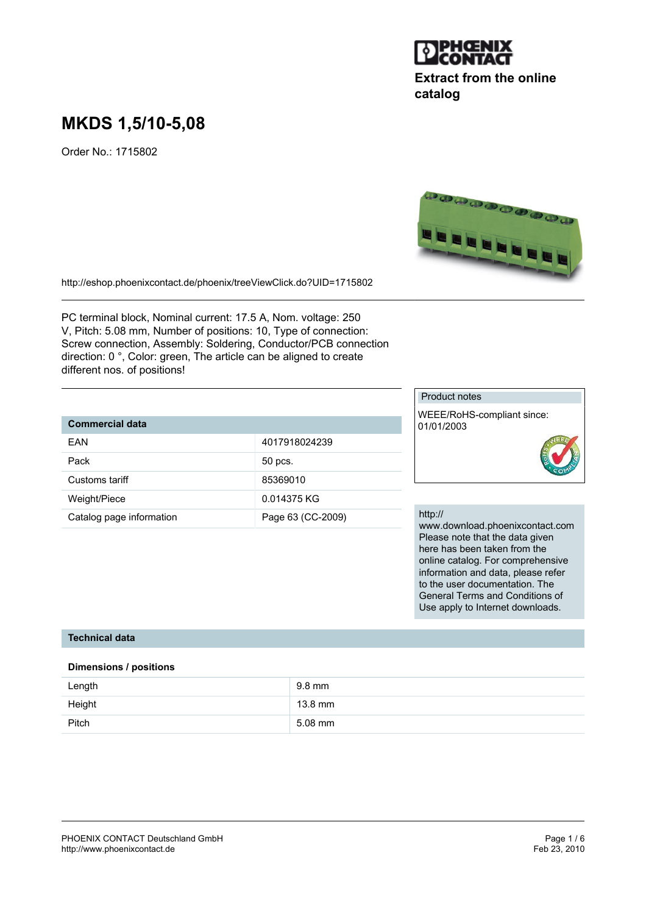

## **Extract from the online catalog**

# **MKDS 1,5/10-5,08**

Order No.: 1715802



PC terminal block, Nominal current: 17.5 A, Nom. voltage: 250 V, Pitch: 5.08 mm, Number of positions: 10, Type of connection: Screw connection, Assembly: Soldering, Conductor/PCB connection direction: 0 °, Color: green, The article can be aligned to create different nos. of positions!

## **Commercial data**

| 4017918024239     |
|-------------------|
|                   |
| 50 pcs.           |
|                   |
| 85369010          |
|                   |
| 0.014375 KG       |
|                   |
| Page 63 (CC-2009) |
|                   |

#### Product notes

WEEE/RoHS-compliant since: 01/01/2003



#### http://

www.download.phoenixcontact.com Please note that the data given here has been taken from the online catalog. For comprehensive information and data, please refer to the user documentation. The General Terms and Conditions of Use apply to Internet downloads.

#### **Technical data**

#### **Dimensions / positions**

| Length | 9.8 mm    |
|--------|-----------|
| Height | 13.8 mm   |
| Pitch  | $5.08$ mm |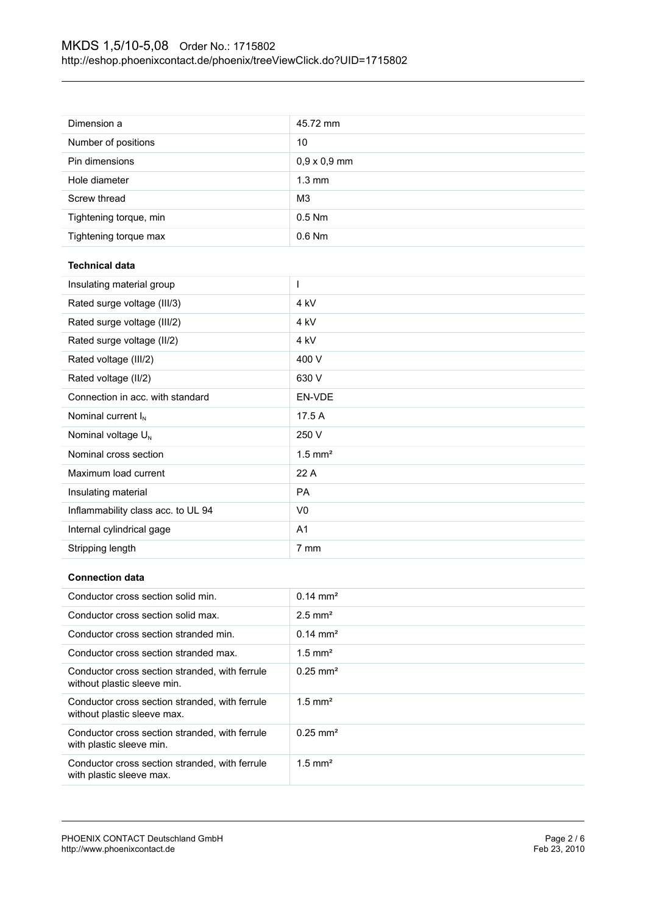| Number of positions                | 10                    |  |
|------------------------------------|-----------------------|--|
| Pin dimensions                     | $0,9 \times 0,9$ mm   |  |
| Hole diameter                      | $1.3 \text{ mm}$      |  |
| Screw thread                       | M <sub>3</sub>        |  |
| Tightening torque, min             | $0.5$ Nm              |  |
| Tightening torque max              | 0.6 Nm                |  |
| <b>Technical data</b>              |                       |  |
| L<br>Insulating material group     |                       |  |
| Rated surge voltage (III/3)        | 4 kV                  |  |
| Rated surge voltage (III/2)        | 4 kV                  |  |
| Rated surge voltage (II/2)         | 4 kV                  |  |
| Rated voltage (III/2)              | 400 V                 |  |
| Rated voltage (II/2)               | 630 V                 |  |
| Connection in acc. with standard   | EN-VDE                |  |
| Nominal current $I_N$              | 17.5 A                |  |
| Nominal voltage U <sub>N</sub>     | 250 V                 |  |
| Nominal cross section              | $1.5$ mm <sup>2</sup> |  |
| Maximum load current               | 22 A                  |  |
| Insulating material                | PA                    |  |
| Inflammability class acc. to UL 94 | V <sub>0</sub>        |  |
| Internal cylindrical gage          | A1                    |  |
| Stripping length                   | 7 mm                  |  |

## **Connection data**

| Conductor cross section solid min.                                            | $0.14 \text{ mm}^2$    |
|-------------------------------------------------------------------------------|------------------------|
| Conductor cross section solid max.                                            | $2.5$ mm <sup>2</sup>  |
| Conductor cross section stranded min.                                         | $0.14 \text{ mm}^2$    |
| Conductor cross section stranded max.                                         | $1.5$ mm <sup>2</sup>  |
| Conductor cross section stranded, with ferrule<br>without plastic sleeve min. | $0.25 \text{ mm}^2$    |
| Conductor cross section stranded, with ferrule<br>without plastic sleeve max. | $1.5$ mm <sup>2</sup>  |
| Conductor cross section stranded, with ferrule<br>with plastic sleeve min.    | $0.25$ mm <sup>2</sup> |
| Conductor cross section stranded, with ferrule<br>with plastic sleeve max.    | $1.5$ mm <sup>2</sup>  |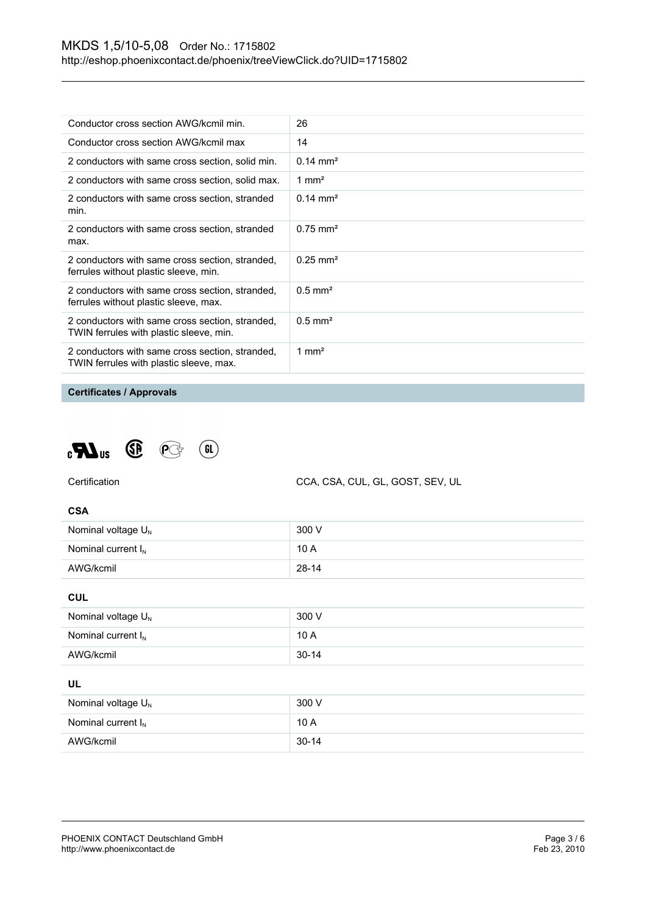| Conductor cross section AWG/kcmil min.                                                     | 26                     |
|--------------------------------------------------------------------------------------------|------------------------|
| Conductor cross section AWG/kcmil max                                                      | 14                     |
| 2 conductors with same cross section, solid min.                                           | $0.14 \text{ mm}^2$    |
| 2 conductors with same cross section, solid max.                                           | 1 mm <sup>2</sup>      |
| 2 conductors with same cross section, stranded<br>min.                                     | $0.14 \text{ mm}^2$    |
| 2 conductors with same cross section, stranded<br>max.                                     | $0.75 \text{ mm}^2$    |
| 2 conductors with same cross section, stranded,<br>ferrules without plastic sleeve, min.   | $0.25$ mm <sup>2</sup> |
| 2 conductors with same cross section, stranded,<br>ferrules without plastic sleeve, max.   | $0.5$ mm <sup>2</sup>  |
| 2 conductors with same cross section, stranded,<br>TWIN ferrules with plastic sleeve, min. | $0.5$ mm <sup>2</sup>  |
| 2 conductors with same cross section, stranded,<br>TWIN ferrules with plastic sleeve, max. | 1 mm <sup>2</sup>      |

## **Certificates / Approvals**





CCA, CSA, CUL, GL, GOST, SEV, UL

#### **CSA**

| Nominal voltage $U_{N}$ | 300 V     |
|-------------------------|-----------|
| Nominal current $I_{N}$ | 10A       |
| AWG/kcmil               | $28 - 14$ |

**CUL**

| Nominal voltage $U_{N}$ | 300 V     |
|-------------------------|-----------|
| Nominal current $I_N$   | 10A       |
| AWG/kcmil               | $30 - 14$ |

## **UL**

| Nominal voltage $U_{N}$ | 300 V     |
|-------------------------|-----------|
| Nominal current $I_{N}$ | 10A       |
| AWG/kcmil               | $30 - 14$ |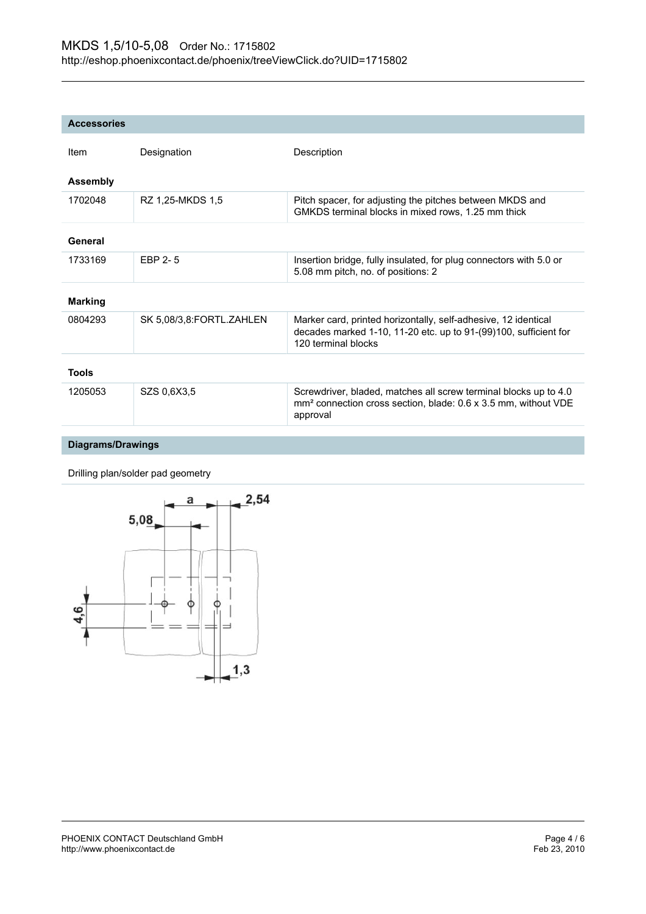| <b>Accessories</b>       |                          |                                                                                                                                                            |
|--------------------------|--------------------------|------------------------------------------------------------------------------------------------------------------------------------------------------------|
| Item                     | Designation              | Description                                                                                                                                                |
| <b>Assembly</b>          |                          |                                                                                                                                                            |
| 1702048                  | RZ 1,25-MKDS 1,5         | Pitch spacer, for adjusting the pitches between MKDS and<br>GMKDS terminal blocks in mixed rows, 1.25 mm thick                                             |
| General                  |                          |                                                                                                                                                            |
| 1733169                  | EBP 2-5                  | Insertion bridge, fully insulated, for plug connectors with 5.0 or<br>5.08 mm pitch, no. of positions: 2                                                   |
| <b>Marking</b>           |                          |                                                                                                                                                            |
| 0804293                  | SK 5,08/3,8:FORTL.ZAHLEN | Marker card, printed horizontally, self-adhesive, 12 identical<br>decades marked 1-10, 11-20 etc. up to 91-(99)100, sufficient for<br>120 terminal blocks  |
| <b>Tools</b>             |                          |                                                                                                                                                            |
| 1205053                  | SZS 0.6X3.5              | Screwdriver, bladed, matches all screw terminal blocks up to 4.0<br>mm <sup>2</sup> connection cross section, blade: 0.6 x 3.5 mm, without VDE<br>approval |
| <b>Diagrams/Drawings</b> |                          |                                                                                                                                                            |

Drilling plan/solder pad geometry

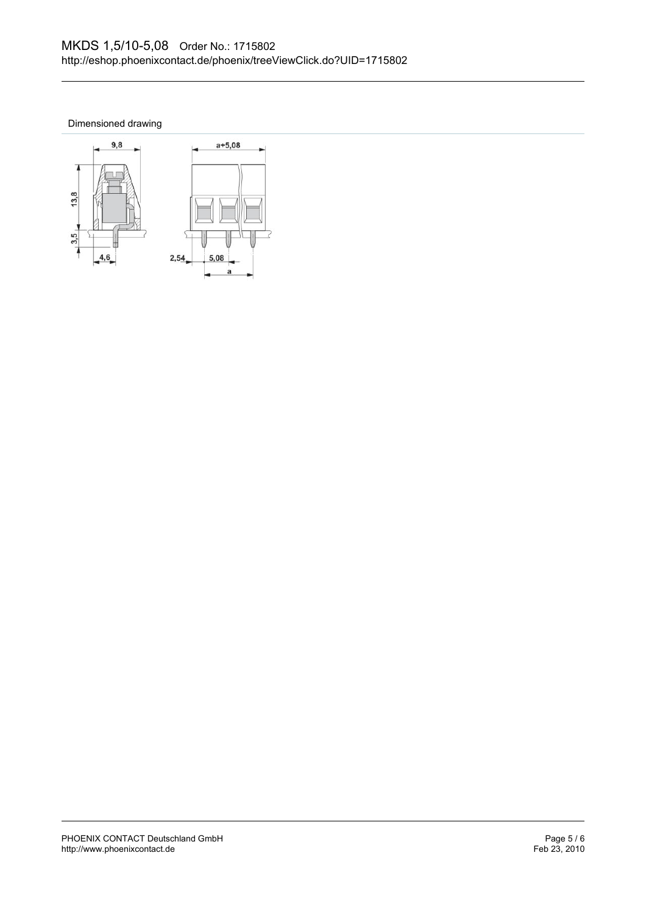Dimensioned drawing